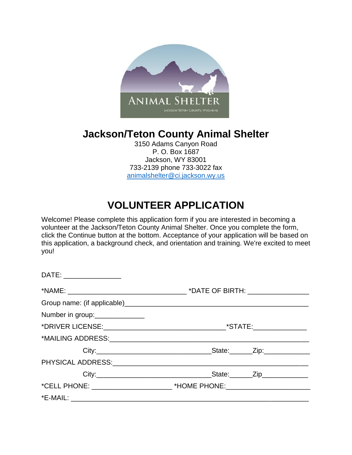

## **Jackson/Teton County Animal Shelter**

3150 Adams Canyon Road P. O. Box 1687 Jackson, WY 83001 733-2139 phone 733-3022 fax [animalshelter@ci.jackson.wy.us](mailto:animalshelter@ci.jackson.wy.us)

# **VOLUNTEER APPLICATION**

Welcome! Please complete this application form if you are interested in becoming a volunteer at the Jackson/Teton County Animal Shelter. Once you complete the form, click the Continue button at the bottom. Acceptance of your application will be based on this application, a background check, and orientation and training. We're excited to meet you!

| DATE: __________________       |  |
|--------------------------------|--|
|                                |  |
|                                |  |
| Number in group:______________ |  |
|                                |  |
|                                |  |
|                                |  |
|                                |  |
|                                |  |
|                                |  |
|                                |  |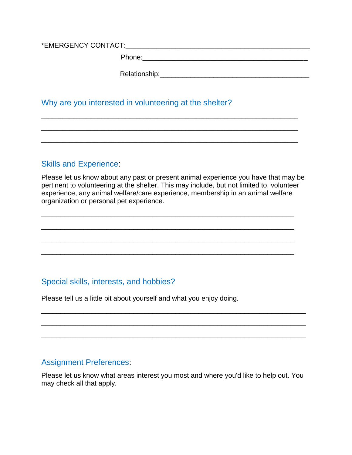\*EMERGENCY CONTACT:\_\_\_\_\_\_\_\_\_\_\_\_\_\_\_\_\_\_\_\_\_\_\_\_\_\_\_\_\_\_\_\_\_\_\_\_\_\_\_\_\_\_\_\_\_\_\_\_

Phone:

Relationship:\_\_\_\_\_\_\_\_\_\_\_\_\_\_\_\_\_\_\_\_\_\_\_\_\_\_\_\_\_\_\_\_\_\_\_\_\_\_\_

#### Why are you interested in volunteering at the shelter?

## Skills and Experience:

Please let us know about any past or present animal experience you have that may be pertinent to volunteering at the shelter. This may include, but not limited to, volunteer experience, any animal welfare/care experience, membership in an animal welfare organization or personal pet experience.

 $\overline{a}$  , and the contribution of the contribution of the contribution of the contribution of the contribution of  $\overline{a}$ 

 $\overline{a}$  , and the contribution of the contribution of the contribution of the contribution of the contribution of  $\overline{a}$ 

\_\_\_\_\_\_\_\_\_\_\_\_\_\_\_\_\_\_\_\_\_\_\_\_\_\_\_\_\_\_\_\_\_\_\_\_\_\_\_\_\_\_\_\_\_\_\_\_\_\_\_\_\_\_\_\_\_\_\_\_\_\_\_\_\_\_

\_\_\_\_\_\_\_\_\_\_\_\_\_\_\_\_\_\_\_\_\_\_\_\_\_\_\_\_\_\_\_\_\_\_\_\_\_\_\_\_\_\_\_\_\_\_\_\_\_\_\_\_\_\_\_\_\_\_\_\_\_\_\_\_\_\_

\_\_\_\_\_\_\_\_\_\_\_\_\_\_\_\_\_\_\_\_\_\_\_\_\_\_\_\_\_\_\_\_\_\_\_\_\_\_\_\_\_\_\_\_\_\_\_\_\_\_\_\_\_\_\_\_\_\_\_\_\_\_\_\_\_\_\_\_\_\_\_\_\_

\_\_\_\_\_\_\_\_\_\_\_\_\_\_\_\_\_\_\_\_\_\_\_\_\_\_\_\_\_\_\_\_\_\_\_\_\_\_\_\_\_\_\_\_\_\_\_\_\_\_\_\_\_\_\_\_\_\_\_\_\_\_\_\_\_\_\_\_\_\_\_\_\_

\_\_\_\_\_\_\_\_\_\_\_\_\_\_\_\_\_\_\_\_\_\_\_\_\_\_\_\_\_\_\_\_\_\_\_\_\_\_\_\_\_\_\_\_\_\_\_\_\_\_\_\_\_\_\_\_\_\_\_\_\_\_\_\_\_\_\_\_\_\_\_\_\_

### Special skills, interests, and hobbies?

Please tell us a little bit about yourself and what you enjoy doing.

#### Assignment Preferences:

Please let us know what areas interest you most and where you'd like to help out. You may check all that apply.

\_\_\_\_\_\_\_\_\_\_\_\_\_\_\_\_\_\_\_\_\_\_\_\_\_\_\_\_\_\_\_\_\_\_\_\_\_\_\_\_\_\_\_\_\_\_\_\_\_\_\_\_\_\_\_\_\_\_\_\_\_\_\_\_\_\_\_\_\_

\_\_\_\_\_\_\_\_\_\_\_\_\_\_\_\_\_\_\_\_\_\_\_\_\_\_\_\_\_\_\_\_\_\_\_\_\_\_\_\_\_\_\_\_\_\_\_\_\_\_\_\_\_\_\_\_\_\_\_\_\_\_\_\_\_\_\_\_\_

\_\_\_\_\_\_\_\_\_\_\_\_\_\_\_\_\_\_\_\_\_\_\_\_\_\_\_\_\_\_\_\_\_\_\_\_\_\_\_\_\_\_\_\_\_\_\_\_\_\_\_\_\_\_\_\_\_\_\_\_\_\_\_\_\_\_\_\_\_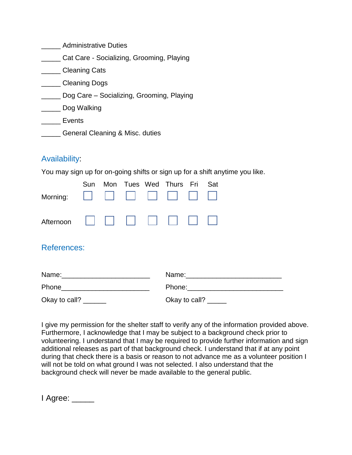| <b>Administrative Duties</b> |  |
|------------------------------|--|
|------------------------------|--|

- \_\_\_\_\_ Cat Care Socializing, Grooming, Playing
- \_\_\_\_\_ Cleaning Cats
- \_\_\_\_\_ Cleaning Dogs
- \_\_\_\_\_ Dog Care Socializing, Grooming, Playing
- \_\_\_\_\_ Dog Walking
- Events
- **Example 2** General Cleaning & Misc. duties

## Availability:

You may sign up for on-going shifts or sign up for a shift anytime you like.

|  |  | Sun Mon Tues Wed Thurs Fri Sat |  |
|--|--|--------------------------------|--|
|  |  |                                |  |
|  |  |                                |  |

## References:

| Name:         | Name:         |
|---------------|---------------|
| Phone         | Phone:        |
| Okay to call? | Okay to call? |

I give my permission for the shelter staff to verify any of the information provided above. Furthermore, I acknowledge that I may be subject to a background check prior to volunteering. I understand that I may be required to provide further information and sign additional releases as part of that background check. I understand that if at any point during that check there is a basis or reason to not advance me as a volunteer position I will not be told on what ground I was not selected. I also understand that the background check will never be made available to the general public.

| Agree: |  |
|--------|--|
|        |  |